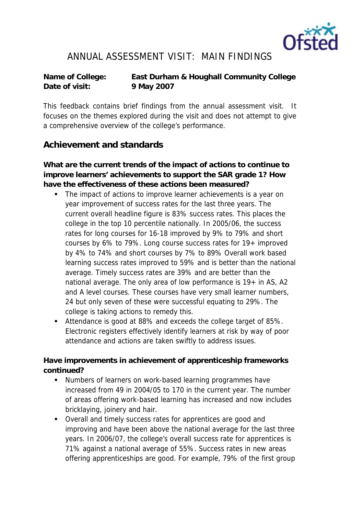

## ANNUAL ASSESSMENT VISIT: MAIN FINDINGS

**Name of College: East Durham & Houghall Community College Date of visit: 9 May 2007**

This feedback contains brief findings from the annual assessment visit. It focuses on the themes explored during the visit and does not attempt to give a comprehensive overview of the college's performance.

## **Achievement and standards**

**What are the current trends of the impact of actions to continue to improve learners' achievements to support the SAR grade 1? How have the effectiveness of these actions been measured?**

- The impact of actions to improve learner achievements is a year on year improvement of success rates for the last three years. The current overall headline figure is 83% success rates. This places the college in the top 10 percentile nationally. In 2005/06, the success rates for long courses for 16-18 improved by 9% to 79% and short courses by 6% to 79%. Long course success rates for 19+ improved by 4% to 74% and short courses by 7% to 89% Overall work based learning success rates improved to 59% and is better than the national average. Timely success rates are 39% and are better than the national average. The only area of low performance is  $19+$  in AS, A2 and A level courses. These courses have very small learner numbers, 24 but only seven of these were successful equating to 29%. The college is taking actions to remedy this.
- Attendance is good at 88% and exceeds the college target of 85%. Electronic registers effectively identify learners at risk by way of poor attendance and actions are taken swiftly to address issues.

**Have improvements in achievement of apprenticeship frameworks continued?**

- Numbers of learners on work-based learning programmes have increased from 49 in 2004/05 to 170 in the current year. The number of areas offering work-based learning has increased and now includes bricklaying, joinery and hair.
- Overall and timely success rates for apprentices are good and improving and have been above the national average for the last three years. In 2006/07, the college's overall success rate for apprentices is 71% against a national average of 55%. Success rates in new areas offering apprenticeships are good. For example, 79% of the first group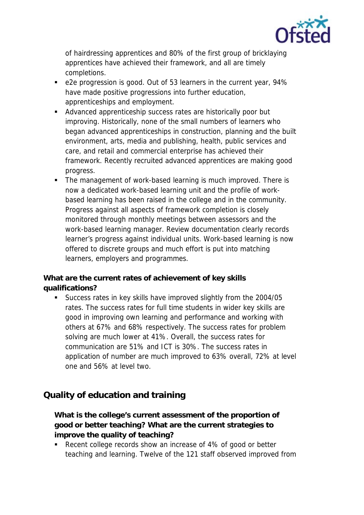

of hairdressing apprentices and 80% of the first group of bricklaying apprentices have achieved their framework, and all are timely completions.

- e2e progression is good. Out of 53 learners in the current year, 94% have made positive progressions into further education, apprenticeships and employment.
- Advanced apprenticeship success rates are historically poor but improving. Historically, none of the small numbers of learners who began advanced apprenticeships in construction, planning and the built environment, arts, media and publishing, health, public services and care, and retail and commercial enterprise has achieved their framework. Recently recruited advanced apprentices are making good progress.
- The management of work-based learning is much improved. There is now a dedicated work-based learning unit and the profile of workbased learning has been raised in the college and in the community. Progress against all aspects of framework completion is closely monitored through monthly meetings between assessors and the work-based learning manager. Review documentation clearly records learner's progress against individual units. Work-based learning is now offered to discrete groups and much effort is put into matching learners, employers and programmes.

**What are the current rates of achievement of key skills qualifications?**

 Success rates in key skills have improved slightly from the 2004/05 rates. The success rates for full time students in wider key skills are good in improving own learning and performance and working with others at 67% and 68% respectively. The success rates for problem solving are much lower at 41%. Overall, the success rates for communication are 51% and ICT is 30%. The success rates in application of number are much improved to 63% overall, 72% at level one and 56% at level two.

## **Quality of education and training**

**What is the college's current assessment of the proportion of good or better teaching? What are the current strategies to improve the quality of teaching?**

Recent college records show an increase of 4% of good or better teaching and learning. Twelve of the 121 staff observed improved from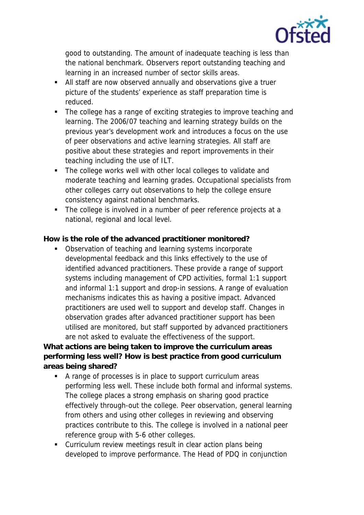

good to outstanding. The amount of inadequate teaching is less than the national benchmark. Observers report outstanding teaching and learning in an increased number of sector skills areas.

- All staff are now observed annually and observations give a truer picture of the students' experience as staff preparation time is reduced.
- The college has a range of exciting strategies to improve teaching and learning. The 2006/07 teaching and learning strategy builds on the previous year's development work and introduces a focus on the use of peer observations and active learning strategies. All staff are positive about these strategies and report improvements in their teaching including the use of ILT.
- The college works well with other local colleges to validate and moderate teaching and learning grades. Occupational specialists from other colleges carry out observations to help the college ensure consistency against national benchmarks.
- The college is involved in a number of peer reference projects at a national, regional and local level.

**How is the role of the advanced practitioner monitored?**

**Diservation of teaching and learning systems incorporate** developmental feedback and this links effectively to the use of identified advanced practitioners. These provide a range of support systems including management of CPD activities, formal 1:1 support and informal 1:1 support and drop-in sessions. A range of evaluation mechanisms indicates this as having a positive impact. Advanced practitioners are used well to support and develop staff. Changes in observation grades after advanced practitioner support has been utilised are monitored, but staff supported by advanced practitioners are not asked to evaluate the effectiveness of the support.

**What actions are being taken to improve the curriculum areas performing less well? How is best practice from good curriculum areas being shared?**

- A range of processes is in place to support curriculum areas performing less well. These include both formal and informal systems. The college places a strong emphasis on sharing good practice effectively through-out the college. Peer observation, general learning from others and using other colleges in reviewing and observing practices contribute to this. The college is involved in a national peer reference group with 5-6 other colleges.
- Curriculum review meetings result in clear action plans being developed to improve performance. The Head of PDQ in conjunction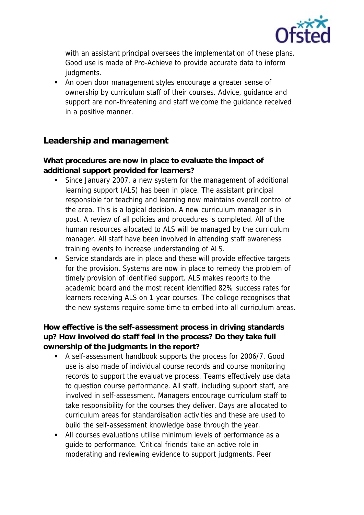

with an assistant principal oversees the implementation of these plans. Good use is made of Pro-Achieve to provide accurate data to inform judgments.

 An open door management styles encourage a greater sense of ownership by curriculum staff of their courses. Advice, guidance and support are non-threatening and staff welcome the guidance received in a positive manner.

## **Leadership and management**

**What procedures are now in place to evaluate the impact of additional support provided for learners?**

- Since January 2007, a new system for the management of additional learning support (ALS) has been in place. The assistant principal responsible for teaching and learning now maintains overall control of the area. This is a logical decision. A new curriculum manager is in post. A review of all policies and procedures is completed. All of the human resources allocated to ALS will be managed by the curriculum manager. All staff have been involved in attending staff awareness training events to increase understanding of ALS.
- Service standards are in place and these will provide effective targets for the provision. Systems are now in place to remedy the problem of timely provision of identified support. ALS makes reports to the academic board and the most recent identified 82% success rates for learners receiving ALS on 1-year courses. The college recognises that the new systems require some time to embed into all curriculum areas.

**How effective is the self-assessment process in driving standards up? How involved do staff feel in the process? Do they take full ownership of the judgments in the report?**

- A self-assessment handbook supports the process for 2006/7. Good use is also made of individual course records and course monitoring records to support the evaluative process. Teams effectively use data to question course performance. All staff, including support staff, are involved in self-assessment. Managers encourage curriculum staff to take responsibility for the courses they deliver. Days are allocated to curriculum areas for standardisation activities and these are used to build the self-assessment knowledge base through the year.
- All courses evaluations utilise minimum levels of performance as a guide to performance. 'Critical friends' take an active role in moderating and reviewing evidence to support judgments. Peer